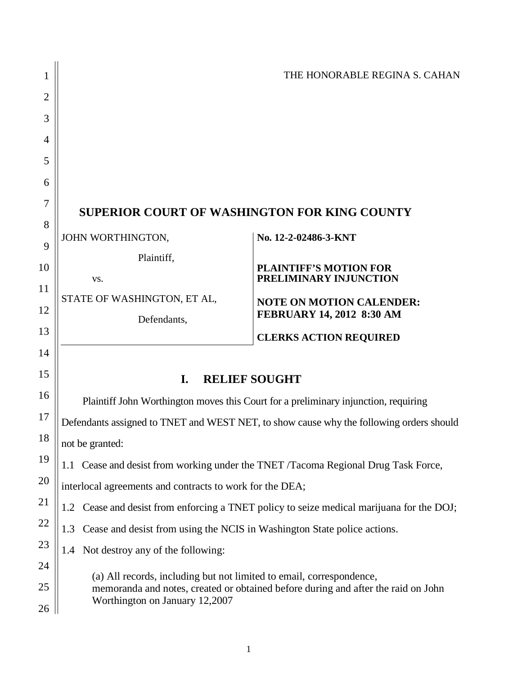| 1                   |                                                                                   | THE HONORABLE REGINA S. CAHAN                                                           |  |
|---------------------|-----------------------------------------------------------------------------------|-----------------------------------------------------------------------------------------|--|
| $\overline{2}$      |                                                                                   |                                                                                         |  |
| 3                   |                                                                                   |                                                                                         |  |
| 4                   |                                                                                   |                                                                                         |  |
| 5                   |                                                                                   |                                                                                         |  |
| 6                   |                                                                                   |                                                                                         |  |
| $\overline{7}$<br>8 | <b>SUPERIOR COURT OF WASHINGTON FOR KING COUNTY</b>                               |                                                                                         |  |
| 9                   | JOHN WORTHINGTON,                                                                 | No. 12-2-02486-3-KNT                                                                    |  |
| 10                  | Plaintiff,                                                                        | <b>PLAINTIFF'S MOTION FOR</b>                                                           |  |
| 11                  | VS.                                                                               | PRELIMINARY INJUNCTION                                                                  |  |
| 12                  | STATE OF WASHINGTON, ET AL,<br>Defendants,                                        | <b>NOTE ON MOTION CALENDER:</b><br>FEBRUARY 14, 2012 8:30 AM                            |  |
| 13                  |                                                                                   | <b>CLERKS ACTION REQUIRED</b>                                                           |  |
| 14                  |                                                                                   |                                                                                         |  |
| 15                  | <b>RELIEF SOUGHT</b><br>I.                                                        |                                                                                         |  |
| 16                  |                                                                                   | Plaintiff John Worthington moves this Court for a preliminary injunction, requiring     |  |
| 17                  |                                                                                   | Defendants assigned to TNET and WEST NET, to show cause why the following orders should |  |
| 18                  | not be granted:                                                                   |                                                                                         |  |
| 19                  |                                                                                   | 1.1 Cease and desist from working under the TNET /Tacoma Regional Drug Task Force,      |  |
| 20                  | interlocal agreements and contracts to work for the DEA;                          |                                                                                         |  |
| 21                  | 1.2                                                                               | Cease and desist from enforcing a TNET policy to seize medical marijuana for the DOJ;   |  |
| 22                  | Cease and desist from using the NCIS in Washington State police actions.<br>1.3   |                                                                                         |  |
| 23                  | Not destroy any of the following:<br>1.4                                          |                                                                                         |  |
| 24                  | (a) All records, including but not limited to email, correspondence,              |                                                                                         |  |
| 25                  | memoranda and notes, created or obtained before during and after the raid on John |                                                                                         |  |
| 26                  | Worthington on January 12,2007                                                    |                                                                                         |  |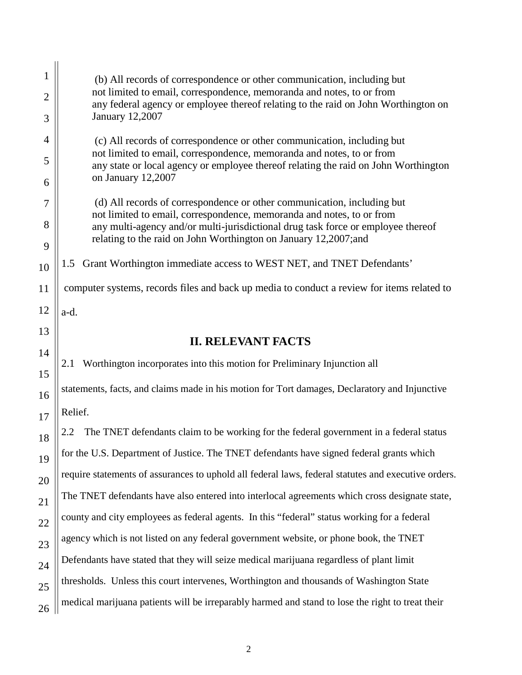|    | (b) All records of correspondence or other communication, including but                                                                                      |  |
|----|--------------------------------------------------------------------------------------------------------------------------------------------------------------|--|
| 2  | not limited to email, correspondence, memoranda and notes, to or from<br>any federal agency or employee thereof relating to the raid on John Worthington on  |  |
| 3  | <b>January 12,2007</b>                                                                                                                                       |  |
| 4  | (c) All records of correspondence or other communication, including but                                                                                      |  |
| 5  | not limited to email, correspondence, memoranda and notes, to or from<br>any state or local agency or employee thereof relating the raid on John Worthington |  |
| 6  | on January 12,2007                                                                                                                                           |  |
| 7  | (d) All records of correspondence or other communication, including but<br>not limited to email, correspondence, memoranda and notes, to or from             |  |
| 8  | any multi-agency and/or multi-jurisdictional drug task force or employee thereof                                                                             |  |
| 9  | relating to the raid on John Worthington on January 12,2007;and                                                                                              |  |
| 10 | 1.5 Grant Worthington immediate access to WEST NET, and TNET Defendants'                                                                                     |  |
| 11 | computer systems, records files and back up media to conduct a review for items related to                                                                   |  |
| 12 | a-d.                                                                                                                                                         |  |
| 13 | <b>II. RELEVANT FACTS</b>                                                                                                                                    |  |
| 14 |                                                                                                                                                              |  |
| 15 | Worthington incorporates into this motion for Preliminary Injunction all<br>2.1                                                                              |  |
| 16 | statements, facts, and claims made in his motion for Tort damages, Declaratory and Injunctive                                                                |  |
| 17 | Relief.                                                                                                                                                      |  |
| 18 | The TNET defendants claim to be working for the federal government in a federal status<br>2.2                                                                |  |
| 19 | for the U.S. Department of Justice. The TNET defendants have signed federal grants which                                                                     |  |
| 20 | require statements of assurances to uphold all federal laws, federal statutes and executive orders.                                                          |  |
| 21 | The TNET defendants have also entered into interlocal agreements which cross designate state,                                                                |  |
| 22 | county and city employees as federal agents. In this "federal" status working for a federal                                                                  |  |
| 23 | agency which is not listed on any federal government website, or phone book, the TNET                                                                        |  |
| 24 | Defendants have stated that they will seize medical marijuana regardless of plant limit                                                                      |  |
| 25 | thresholds. Unless this court intervenes, Worthington and thousands of Washington State                                                                      |  |
| 26 | medical marijuana patients will be irreparably harmed and stand to lose the right to treat their                                                             |  |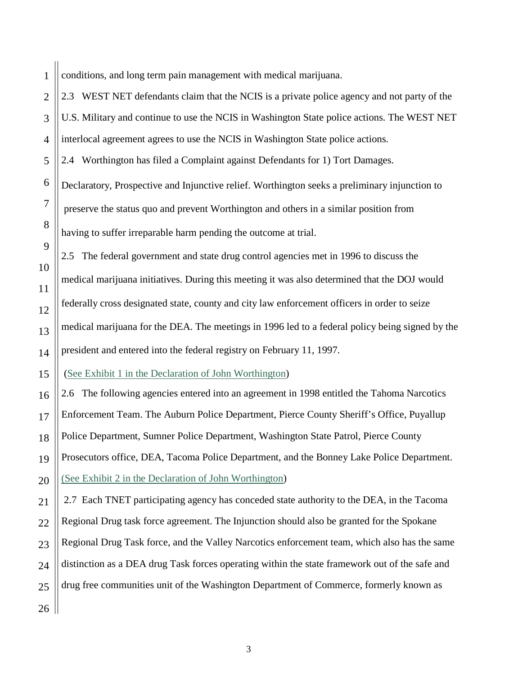1 conditions, and long term pain management with medical marijuana.

2 3 4 2.3 WEST NET defendants claim that the NCIS is a private police agency and not party of the U.S. Military and continue to use the NCIS in Washington State police actions. The WEST NET interlocal agreement agrees to use the NCIS in Washington State police actions. 2.4 Worthington has filed a Complaint against Defendants for 1) Tort Damages. Declaratory, Prospective and Injunctive relief. Worthington seeks a preliminary injunction to preserve the status quo and prevent Worthington and others in a similar position from having to suffer irreparable harm pending the outcome at trial. 2.5 The federal government and state drug control agencies met in 1996 to discuss the medical marijuana initiatives. During this meeting it was also determined that the DOJ would federally cross designated state, county and city law enforcement officers in order to seize medical marijuana for the DEA. The meetings in 1996 led to a federal policy being signed by the

president and entered into the federal registry on February 11, 1997.

(See Exhibit 1 in the Declaration of John Worthington)

2.6 The following agencies entered into an agreement in 1998 entitled the Tahoma Narcotics Enforcement Team. The Auburn Police Department, Pierce County Sheriff's Office, Puyallup Police Department, Sumner Police Department, Washington State Patrol, Pierce County Prosecutors office, DEA, Tacoma Police Department, and the Bonney Lake Police Department. (See Exhibit 2 in the Declaration of John Worthington)

2.7 Each TNET participating agency has conceded state authority to the DEA, in the Tacoma Regional Drug task force agreement. The Injunction should also be granted for the Spokane Regional Drug Task force, and the Valley Narcotics enforcement team, which also has the same distinction as a DEA drug Task forces operating within the state framework out of the safe and drug free communities unit of the Washington Department of Commerce, formerly known as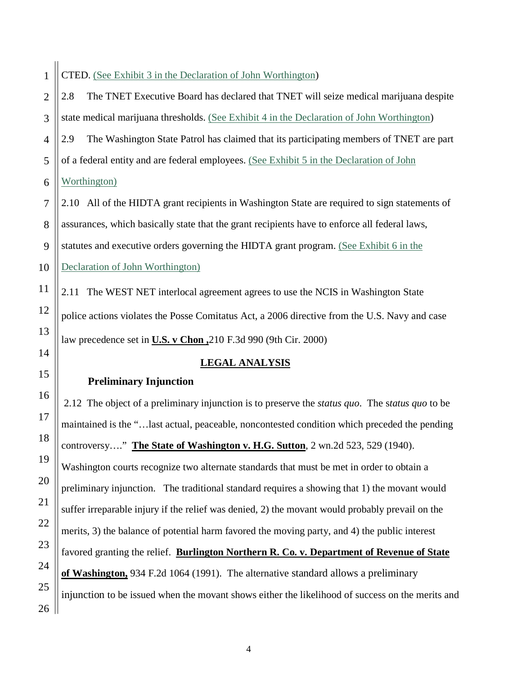## 2 3 4 5 6 7 8 9 10 11 12 13 14 15 16 17 18 19 20 21 22 23 24 25 26 2.8 The TNET Executive Board has declared that TNET will seize medical marijuana despite state medical marijuana thresholds. (See Exhibit 4 in the Declaration of John Worthington) 2.9 The Washington State Patrol has claimed that its participating members of TNET are part of a federal entity and are federal employees. (See Exhibit 5 in the Declaration of John Worthington) 2.10 All of the HIDTA grant recipients in Washington State are required to sign statements of assurances, which basically state that the grant recipients have to enforce all federal laws, statutes and executive orders governing the HIDTA grant program. (See Exhibit 6 in the Declaration of John Worthington) 2.11 The WEST NET interlocal agreement agrees to use the NCIS in Washington State police actions violates the Posse Comitatus Act, a 2006 directive from the U.S. Navy and case law precedence set in **U.S. v Chon ,**210 F.3d 990 (9th Cir. 2000)  **Preliminary Injunction LEGAL ANALYSIS** 2.12 The object of a preliminary injunction is to preserve the *status quo*. The s*tatus quo* to be maintained is the "…last actual, peaceable, noncontested condition which preceded the pending controversy…." **The State of Washington v. H.G. Sutton**, 2 wn.2d 523, 529 (1940). Washington courts recognize two alternate standards that must be met in order to obtain a preliminary injunction. The traditional standard requires a showing that 1) the movant would suffer irreparable injury if the relief was denied, 2) the movant would probably prevail on the merits, 3) the balance of potential harm favored the moving party, and 4) the public interest favored granting the relief. **Burlington Northern R. Co. v. Department of Revenue of State of Washington,** 934 F.2d 1064 (1991). The alternative standard allows a preliminary injunction to be issued when the movant shows either the likelihood of success on the merits and

CTED. (See Exhibit 3 in the Declaration of John Worthington)

1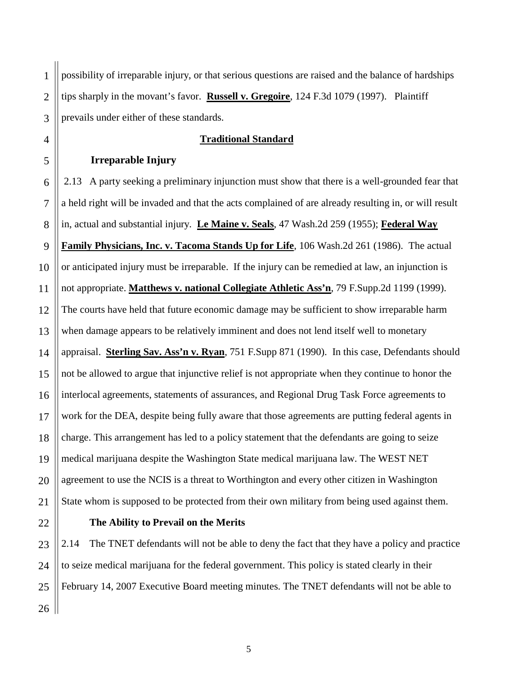1 2 3 possibility of irreparable injury, or that serious questions are raised and the balance of hardships tips sharply in the movant's favor. **Russell v. Gregoire** , 124 F.3d 1079 (1997). Plaintiff prevails under either of these standards.

### **Traditional Standard**

### **Irreparable Injury**

4

5

6 7 8 9 10 11 12 13 14 15 16 17 18 19 20 21 2.13 A party seeking a preliminary injunction must show that there is a well-grounded fear that a held right will be invaded and that the acts complained of are already resulting in, or will result in, actual and substantial injury. **Le Maine v. Seals**, 47 Wash.2d 259 (1955); **Federal Way Family Physicians, Inc. v. Tacoma Stands Up for Life**, 106 Wash.2d 261 (1986). The actual or anticipated injury must be irreparable. If the injury can be remedied at law, an injunction is not appropriate. **Matthews v. national Collegiate Athletic Ass'n**, 79 F.Supp.2d 1199 (1999). The courts have held that future economic damage may be sufficient to show irreparable harm when damage appears to be relatively imminent and does not lend itself well to monetary appraisal. **Sterling Sav. Ass'n v. Ryan** , 751 F.Supp 871 (1990). In this case, Defendants should not be allowed to argue that injunctive relief is not appropriate when they continue to honor the interlocal agreements, statements of assurances, and Regional Drug Task Force agreements to work for the DEA, despite being fully aware that those agreements are putting federal agents in charge. This arrangement has led to a policy statement that the defendants are going to seize medical marijuana despite the Washington State medical marijuana law. The WEST NET agreement to use the NCIS is a threat to Worthington and every other citizen in Washington State whom is supposed to be protected from their own military from being used against them.

### 22

## **The Ability to Prevail on the Merits**

23 24 25 26 2.14 The TNET defendants will not be able to deny the fact that they have a policy and practice to seize medical marijuana for the federal government. This policy is stated clearly in their February 14, 2007 Executive Board meeting minutes. The TNET defendants will not be able to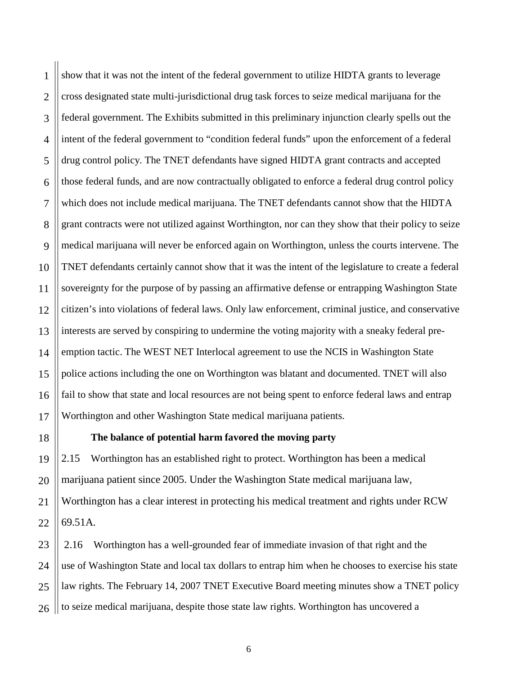1 2 3 4 5 6 7 8 9 10 11 12 13 14 15 16 17 show that it was not the intent of the federal government to utilize HIDTA grants to leverage cross designated state multi-jurisdictional drug task forces to seize medical marijuana for the federal government. The Exhibits submitted in this preliminary injunction clearly spells out the intent of the federal government to "condition federal funds" upon the enforcement of a federal drug control policy. The TNET defendants have signed HIDTA grant contracts and accepted those federal funds, and are now contractually obligated to enforce a federal drug control policy which does not include medical marijuana. The TNET defendants cannot show that the HIDTA grant contracts were not utilized against Worthington, nor can they show that their policy to seize medical marijuana will never be enforced again on Worthington, unless the courts intervene. The TNET defendants certainly cannot show that it was the intent of the legislature to create a federal sovereignty for the purpose of by passing an affirmative defense or entrapping Washington State citizen's into violations of federal laws. Only law enforcement, criminal justice, and conservative interests are served by conspiring to undermine the voting majority with a sneaky federal preemption tactic. The WEST NET Interlocal agreement to use the NCIS in Washington State police actions including the one on Worthington was blatant and documented. TNET will also fail to show that state and local resources are not being spent to enforce federal laws and entrap Worthington and other Washington State medical marijuana patients.

18

## **The balance of potential harm favored the moving party**

19 20 21 22 2.15 Worthington has an established right to protect. Worthington has been a medical marijuana patient since 2005. Under the Washington State medical marijuana law, Worthington has a clear interest in protecting his medical treatment and rights under RCW 69.51A.

23 24 25 26 2.16 Worthington has a well-grounded fear of immediate invasion of that right and the use of Washington State and local tax dollars to entrap him when he chooses to exercise his state law rights. The February 14, 2007 TNET Executive Board meeting minutes show a TNET policy to seize medical marijuana, despite those state law rights. Worthington has uncovered a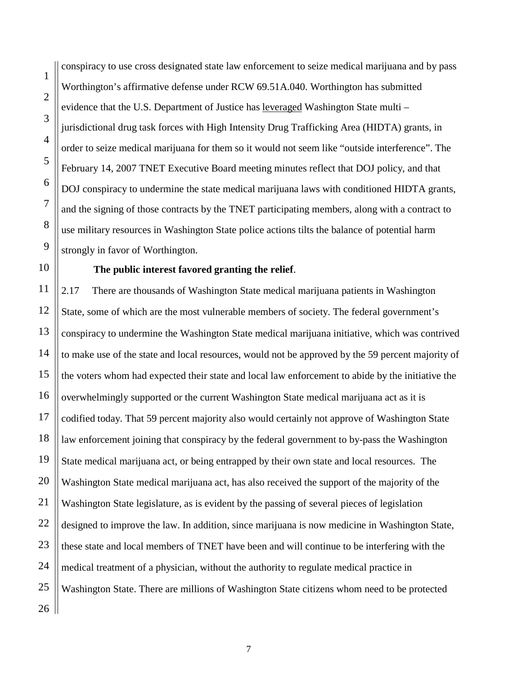conspiracy to use cross designated state law enforcement to seize medical marijuana and by pass Worthington's affirmative defense under RCW 69.51A.040. Worthington has submitted evidence that the U.S. Department of Justice has leveraged Washington State multi jurisdictional drug task forces with High Intensity Drug Trafficking Area (HIDTA) grants, in order to seize medical marijuana for them so it would not seem like "outside interference". The February 14, 2007 TNET Executive Board meeting minutes reflect that DOJ policy, and that DOJ conspiracy to undermine the state medical marijuana laws with conditioned HIDTA grants, and the signing of those contracts by the TNET participating members, along with a contract to use military resources in Washington State police actions tilts the balance of potential harm strongly in favor of Worthington.

## **The public interest favored granting the relief**.

26 2.17 There are thousands of Washington State medical marijuana patients in Washington State, some of which are the most vulnerable members of society. The federal government's conspiracy to undermine the Washington State medical marijuana initiative, which was contrived to make use of the state and local resources, would not be approved by the 59 percent majority of the voters whom had expected their state and local law enforcement to abide by the initiative the overwhelmingly supported or the current Washington State medical marijuana act as it is codified today. That 59 percent majority also would certainly not approve of Washington State law enforcement joining that conspiracy by the federal government to by-pass the Washington State medical marijuana act, or being entrapped by their own state and local resources. The Washington State medical marijuana act, has also received the support of the majority of the Washington State legislature, as is evident by the passing of several pieces of legislation designed to improve the law. In addition, since marijuana is now medicine in Washington State, these state and local members of TNET have been and will continue to be interfering with the medical treatment of a physician, without the authority to regulate medical practice in Washington State. There are millions of Washington State citizens whom need to be protected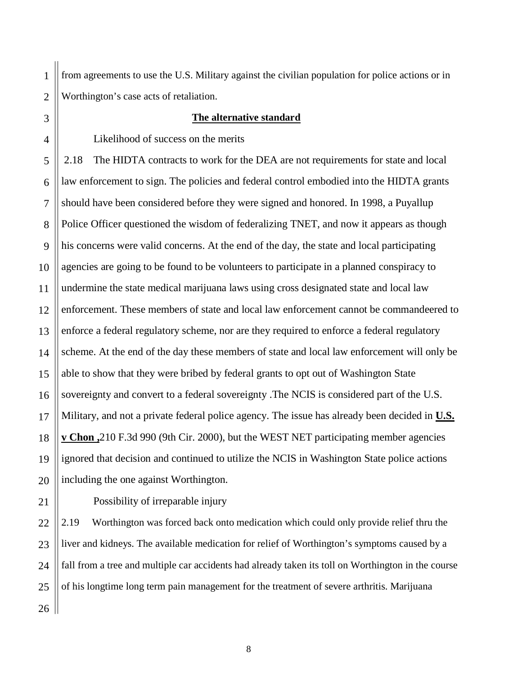1 2 from agreements to use the U.S. Military against the civilian population for police actions or in Worthington's case acts of retaliation.

## **The alternative standard**

Likelihood of success on the merits

2.18 The HIDTA contracts to work for the DEA are not requirements for state and local law enforcement to sign. The policies and federal control embodied into the HIDTA grants should have been considered before they were signed and honored. In 1998, a Puyallup Police Officer questioned the wisdom of federalizing TNET, and now it appears as though his concerns were valid concerns. At the end of the day, the state and local participating agencies are going to be found to be volunteers to participate in a planned conspiracy to undermine the state medical marijuana laws using cross designated state and local law enforcement. These members of state and local law enforcement cannot be commandeered to enforce a federal regulatory scheme, nor are they required to enforce a federal regulatory scheme. At the end of the day these members of state and local law enforcement will only be able to show that they were bribed by federal grants to opt out of Washington State sovereignty and convert to a federal sovereignty .The NCIS is considered part of the U.S. Military, and not a private federal police agency. The issue has already been decided in **U.S. v Chon ,** 210 F.3d 990 (9th Cir. 2000), but the WEST NET participating member agencies ignored that decision and continued to utilize the NCIS in Washington State police actions including the one against Worthington.

Possibility of irreparable injury

26 2.19 Worthington was forced back onto medication which could only provide relief thru the liver and kidneys. The available medication for relief of Worthington's symptoms caused by a fall from a tree and multiple car accidents had already taken its toll on Worthington in the course of his longtime long term pain management for the treatment of severe arthritis. Marijuana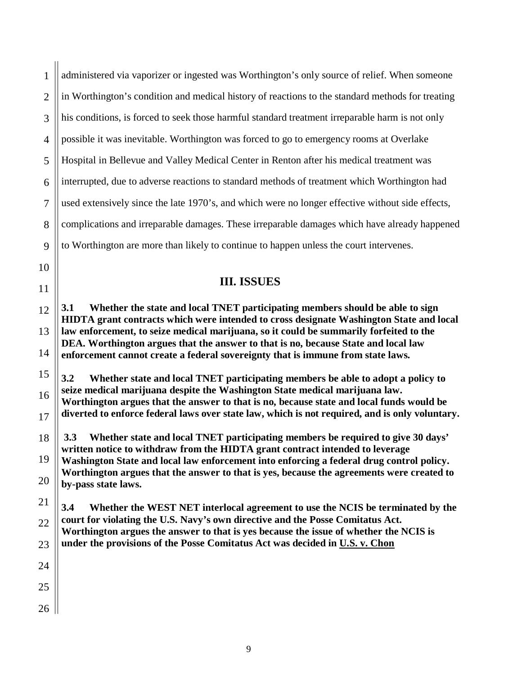| 1              | administered via vaporizer or ingested was Worthington's only source of relief. When someone                                                                                           |
|----------------|----------------------------------------------------------------------------------------------------------------------------------------------------------------------------------------|
| $\overline{2}$ | in Worthington's condition and medical history of reactions to the standard methods for treating                                                                                       |
| 3              | his conditions, is forced to seek those harmful standard treatment irreparable harm is not only                                                                                        |
| $\overline{4}$ | possible it was inevitable. Worthington was forced to go to emergency rooms at Overlake                                                                                                |
| 5              | Hospital in Bellevue and Valley Medical Center in Renton after his medical treatment was                                                                                               |
| 6              | interrupted, due to adverse reactions to standard methods of treatment which Worthington had                                                                                           |
| $\overline{7}$ | used extensively since the late 1970's, and which were no longer effective without side effects,                                                                                       |
| 8              | complications and irreparable damages. These irreparable damages which have already happened                                                                                           |
| 9              | to Worthington are more than likely to continue to happen unless the court intervenes.                                                                                                 |
| 10             |                                                                                                                                                                                        |
| 11             | <b>III. ISSUES</b>                                                                                                                                                                     |
| 12             | Whether the state and local TNET participating members should be able to sign<br><b>3.1</b><br>HIDTA grant contracts which were intended to cross designate Washington State and local |
| 13             | law enforcement, to seize medical marijuana, so it could be summarily forfeited to the                                                                                                 |
| 14             | DEA. Worthington argues that the answer to that is no, because State and local law<br>enforcement cannot create a federal sovereignty that is immune from state laws.                  |
| 15             | 3.2<br>Whether state and local TNET participating members be able to adopt a policy to                                                                                                 |
| 16             | seize medical marijuana despite the Washington State medical marijuana law.<br>Worthington argues that the answer to that is no, because state and local funds would be                |
| 17             | diverted to enforce federal laws over state law, which is not required, and is only voluntary.                                                                                         |
| 18             | Whether state and local TNET participating members be required to give 30 days'<br>3.3<br>written notice to withdraw from the HIDTA grant contract intended to leverage                |
| 19             | Washington State and local law enforcement into enforcing a federal drug control policy.                                                                                               |
| 20             | Worthington argues that the answer to that is yes, because the agreements were created to<br>by-pass state laws.                                                                       |
| 21             | 3.4<br>Whether the WEST NET interlocal agreement to use the NCIS be terminated by the                                                                                                  |
| 22             | court for violating the U.S. Navy's own directive and the Posse Comitatus Act.<br>Worthington argues the answer to that is yes because the issue of whether the NCIS is                |
| 23             | under the provisions of the Posse Comitatus Act was decided in U.S. v. Chon                                                                                                            |
| 24             |                                                                                                                                                                                        |
| 25             |                                                                                                                                                                                        |
| 26             |                                                                                                                                                                                        |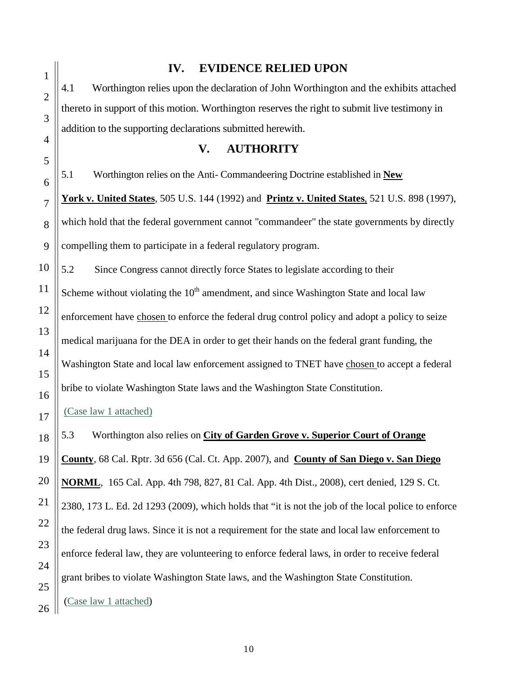1 2 3 4 5 6 7 8 9  **IV. EVIDENCE RELIED UPON** 4.1 Worthington relies upon the declaration of John Worthington and the exhibits attached thereto in support of this motion. Worthington reserves the right to submit live testimony in addition to the supporting declarations submitted herewith. **V. AUTHORITY** 5.1Worthington relies on the Anti- Commandeering Doctrine established in **New York v. United States**, [505 U.S. 144](http://en.wikipedia.org/wiki/Case_citation) (1992) and **Printz v. United States**, [521 U.S. 898](http://en.wikipedia.org/wiki/Case_citation) (1997), which hold that the federal government cannot "commandeer" the state governments by directly compelling them to participate in a federal regulatory program. 5.2 Since Congress cannot directly force States to legislate according to their Scheme without violating the  $10<sup>th</sup>$  amendment, and since Washington State and local law enforcement have chosen to enforce the federal drug control policy and adopt a policy to seize medical marijuana for the DEA in order to get their hands on the federal grant funding, the Washington State and local law enforcement assigned to TNET have chosen to accept a federal bribe to violate Washington State laws and the Washington State Constitution. (Case law 1 attached) 5.3 Worthington also relies on **City of Garden Grove v. Superior Court of Orange County**, 68 Cal. Rptr. 3d 656 (Cal. Ct. App. 2007), and **County of San Diego v. San Diego NORML**, 165 Cal. App. 4th 798, 827, 81 Cal. App. 4th Dist., 2008), cert denied, 129 S. Ct. 2380, 173 L. Ed. 2d 1293 (2009), which holds that "it is not the job of the local police to enforce the federal drug laws. Since it is not a requirement for the state and local law enforcement to enforce federal law, they are volunteering to enforce federal laws, in order to receive federal grant bribes to violate Washington State laws, and the Washington State Constitution. (Case law 1 attached)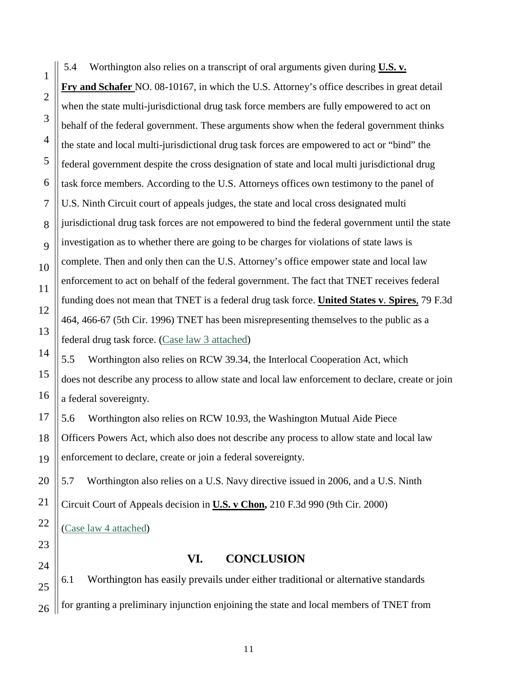5.4 Worthington also relies on a transcript of oral arguments given during **U.S. v. Fry and Schafer** NO. 08-10167, in which the U.S. Attorney's office describes in great detail when the state multi-jurisdictional drug task force members are fully empowered to act on behalf of the federal government. These arguments show when the federal government thinks the state and local multi-jurisdictional drug task forces are empowered to act or "bind" the federal government despite the cross designation of state and local multi jurisdictional drug task force members. According to the U.S. Attorneys offices own testimony to the panel of U.S. Ninth Circuit court of appeals judges, the state and local cross designated multi jurisdictional drug task forces are not empowered to bind the federal government until the state investigation as to whether there are going to be charges for violations of state laws is complete. Then and only then can the U.S. Attorney's office empower state and local law enforcement to act on behalf of the federal government. The fact that TNET receives federal funding does not mean that TNET is a federal drug task force. **United States v**. **Spires**, 79 F.3d 464, 466-67 (5th Cir. 1996) TNET has been misrepresenting themselves to the public as a federal drug task force. (Case law 3 attached)

5.5 Worthington also relies on RCW 39.34, the Interlocal Cooperation Act, which does not describe any process to allow state and local law enforcement to declare, create or join a federal sovereignty.

5.6 Worthington also relies on RCW 10.93, the Washington Mutual Aide Piece Officers Powers Act, which also does not describe any process to allow state and local law enforcement to declare, create or join a federal sovereignty.

5.7 Worthington also relies on a U.S. Navy directive issued in 2006, and a U.S. Ninth

Circuit Court of Appeals decision in **U.S. v Chon ,** 210 F.3d 990 (9th Cir. 2000)

( Case law 4 attached)

# **VI. CONCLUSION**

6.1 Worthington has easily prevails under either traditional or alternative standards for granting a preliminary injunction enjoining the state and local members of TNET from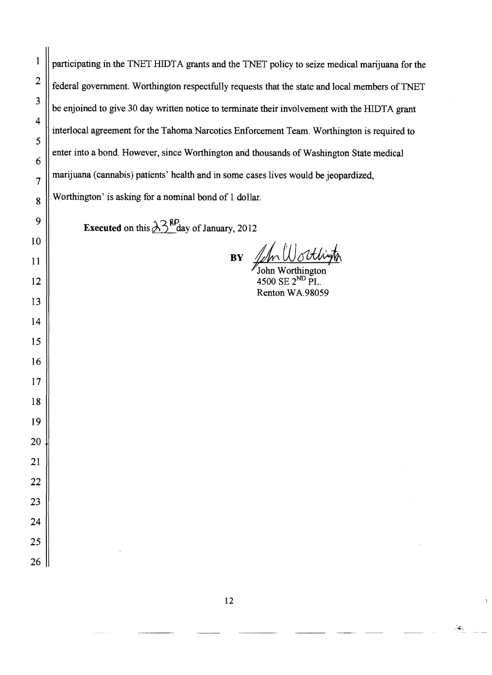| 1              | participating in the TNET HIDTA grants and the TNET policy to seize medical marijuana for the  |
|----------------|------------------------------------------------------------------------------------------------|
| $\overline{2}$ | federal government. Worthington respectfully requests that the state and local members of TNET |
| 3              | be enjoined to give 30 day written notice to terminate their involvement with the HIDTA grant  |
| 4              | interlocal agreement for the Tahoma Narcotics Enforcement Team. Worthington is required to     |
| 5              | enter into a bond. However, since Worthington and thousands of Washington State medical        |
| 6              | marijuana (cannabis) patients' health and in some cases lives would be jeopardized,            |
| $\overline{7}$ |                                                                                                |
| 8              | Worthington' is asking for a nominal bond of 1 dollar.                                         |
| 9              | <b>Executed</b> on this $\lambda$ <sup>3</sup> <sup>RP</sup> day of January, 2012              |
| 10             |                                                                                                |
| 11             | <b>BY</b>                                                                                      |
| 12             | 4500 SE 2 <sup>ND</sup> PL.                                                                    |
| 13             | Renton WA.98059                                                                                |
| 14             |                                                                                                |
| 15             |                                                                                                |
| 16             |                                                                                                |
| 17             |                                                                                                |
| 18             |                                                                                                |
| 19             |                                                                                                |
| 20             |                                                                                                |
| 21             |                                                                                                |
| 22             |                                                                                                |
| 23             |                                                                                                |
| 24             |                                                                                                |
| 25             |                                                                                                |
| 26             |                                                                                                |

 $\mathcal{L}_{\mathbf{G}}$